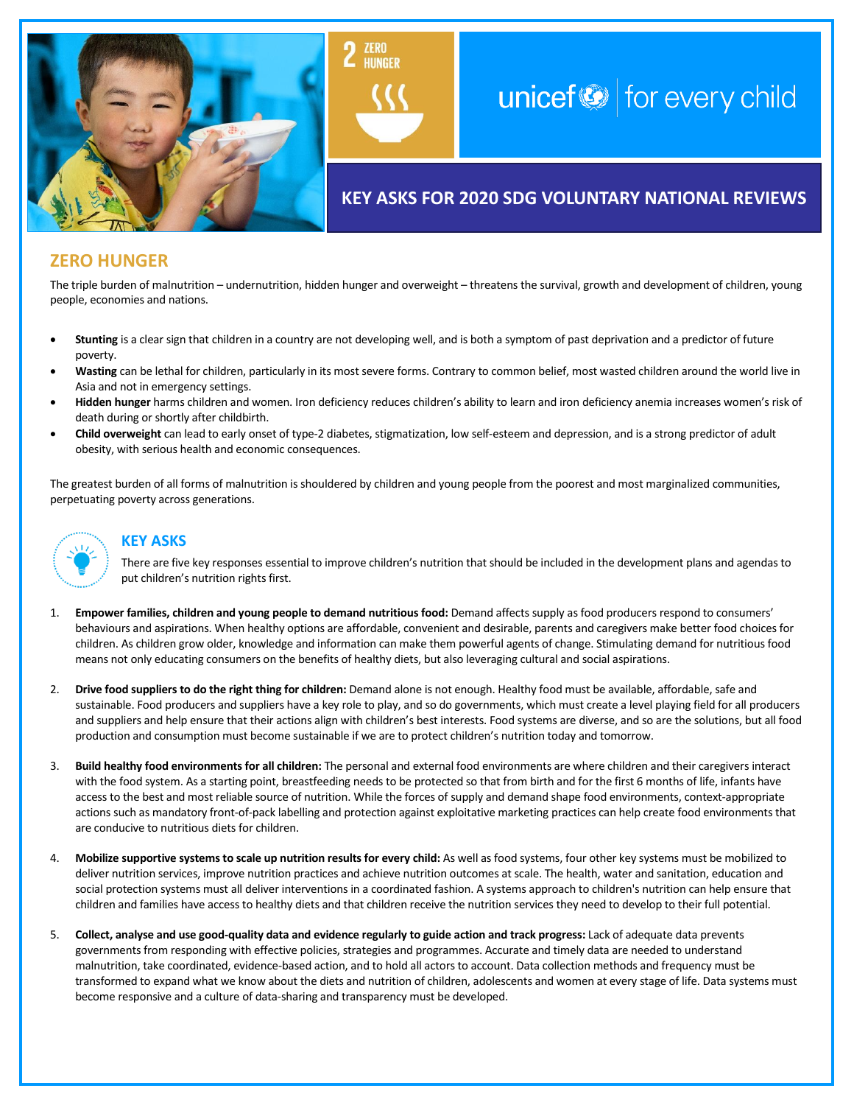

# unicef $\bigcirc$  for every child

# **KEY ASKS FOR 2020 SDG VOLUNTARY NATIONAL REVIEWS**

# **ZERO HUNGER**

The triple burden of malnutrition – undernutrition, hidden hunger and overweight – threatens the survival, growth and development of children, young people, economies and nations.

- **Stunting** is a clear sign that children in a country are not developing well, and is both a symptom of past deprivation and a predictor of future poverty.
- **Wasting** can be lethal for children, particularly in its most severe forms. Contrary to common belief, most wasted children around the world live in Asia and not in emergency settings.
- **Hidden hunger** harms children and women. Iron deficiency reduces children's ability to learn and iron deficiency anemia increases women's risk of death during or shortly after childbirth.
- **Child overweight** can lead to early onset of type-2 diabetes, stigmatization, low self-esteem and depression, and is a strong predictor of adult obesity, with serious health and economic consequences.

The greatest burden of all forms of malnutrition is shouldered by children and young people from the poorest and most marginalized communities, perpetuating poverty across generations.



## **KEY ASKS**

There are five key responses essential to improve children's nutrition that should be included in the development plans and agendas to put children's nutrition rights first.

- 1. **Empower families, children and young people to demand nutritious food:** Demand affects supply as food producers respond to consumers' behaviours and aspirations. When healthy options are affordable, convenient and desirable, parents and caregivers make better food choices for children. As children grow older, knowledge and information can make them powerful agents of change. Stimulating demand for nutritious food means not only educating consumers on the benefits of healthy diets, but also leveraging cultural and social aspirations.
- 2. **Drive food suppliers to do the right thing for children:** Demand alone is not enough. Healthy food must be available, affordable, safe and sustainable. Food producers and suppliers have a key role to play, and so do governments, which must create a level playing field for all producers and suppliers and help ensure that their actions align with children's best interests. Food systems are diverse, and so are the solutions, but all food production and consumption must become sustainable if we are to protect children's nutrition today and tomorrow.
- 3. **Build healthy food environments for all children:** The personal and external food environments are where children and their caregivers interact with the food system. As a starting point, breastfeeding needs to be protected so that from birth and for the first 6 months of life, infants have access to the best and most reliable source of nutrition. While the forces of supply and demand shape food environments, context-appropriate actions such as mandatory front-of-pack labelling and protection against exploitative marketing practices can help create food environments that are conducive to nutritious diets for children.
- 4. **Mobilize supportive systems to scale up nutrition results for every child:** As well as food systems, four other key systems must be mobilized to deliver nutrition services, improve nutrition practices and achieve nutrition outcomes at scale. The health, water and sanitation, education and social protection systems must all deliver interventions in a coordinated fashion. A systems approach to children's nutrition can help ensure that children and families have access to healthy diets and that children receive the nutrition services they need to develop to their full potential.
- 5. **Collect, analyse and use good-quality data and evidence regularly to guide action and track progress:** Lack of adequate data prevents governments from responding with effective policies, strategies and programmes. Accurate and timely data are needed to understand malnutrition, take coordinated, evidence-based action, and to hold all actors to account. Data collection methods and frequency must be transformed to expand what we know about the diets and nutrition of children, adolescents and women at every stage of life. Data systems must become responsive and a culture of data-sharing and transparency must be developed.